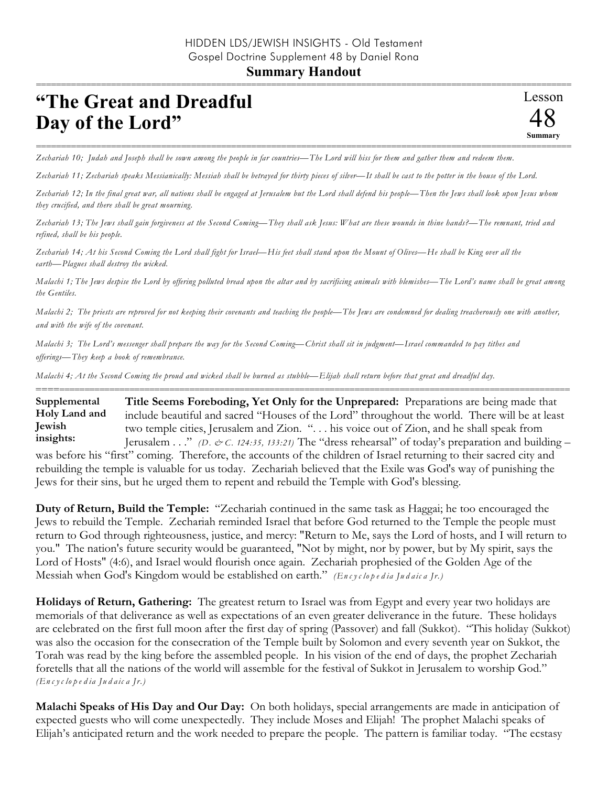## **Summary Handout**

## **"The Great and Dreadful Day of the Lord"**

=========================================================================================================== *Zechariah 10; Judah and Joseph shall be sown among the people in far countries—The Lord will hiss for them and gather them and redeem them.*

*Zechariah 11; Zechariah speaks Messianically: Messiah shall be betrayed for thirty pieces of silver—It shall be cast to the potter in the house of the Lord.* 

*Zechariah 12; In the final great war, all nations shall be engaged at Jerusalem but the Lord shall defend his people—Then the Jews shall look upon Jesus whom they crucified, and there shall be great mourning.* 

*Zechariah 13; The Jews shall gain forgiveness at the Second Coming—They shall ask Jesus: What are these wounds in thine hands?—The remnant, tried and refined, shall be his people.* 

*Zechariah 14; At his Second Coming the Lord shall fight for Israel—His feet shall stand upon the Mount of Olives—He shall be King over all the earth—Plagues shall destroy the wicked.*

*Malachi 1; The Jews despise the Lord by offering polluted bread upon the altar and by sacrificing animals with blemishes—The Lord's name shall be great among the Gentiles.*

*Malachi 2; The priests are reproved for not keeping their covenants and teaching the people—The Jews are condemned for dealing treacherously one with another, and with the wife of the covenant.* 

*Malachi 3; The Lord's messenger shall prepare the way for the Second Coming—Christ shall sit in judgment—Israel commanded to pay tithes and offerings—They keep a book of remembrance.* 

*Malachi 4; At the Second Coming the proud and wicked shall be burned as stubble—Elijah shall return before that great and dreadful day.*

========================================================================================================== **Title Seems Foreboding, Yet Only for the Unprepared:** Preparations are being made that include beautiful and sacred "Houses of the Lord" throughout the world. There will be at least two temple cities, Jerusalem and Zion. ". . . his voice out of Zion, and he shall speak from Jerusalem . . ." *(D. & C. 124:35, 133:21)* The "dress rehearsal" of today's preparation and building – was before his "first" coming. Therefore, the accounts of the children of Israel returning to their sacred city and rebuilding the temple is valuable for us today. Zechariah believed that the Exile was God's way of punishing the Jews for their sins, but he urged them to repent and rebuild the Temple with God's blessing. **Supplemental Holy Land and Jewish insights:**

**Duty of Return, Build the Temple:** "Zechariah continued in the same task as Haggai; he too encouraged the Jews to rebuild the Temple. Zechariah reminded Israel that before God returned to the Temple the people must return to God through righteousness, justice, and mercy: "Return to Me, says the Lord of hosts, and I will return to you." The nation's future security would be guaranteed, "Not by might, nor by power, but by My spirit, says the Lord of Hosts" (4:6), and Israel would flourish once again. Zechariah prophesied of the Golden Age of the Messiah when God's Kingdom would be established on earth." *(En c y c lo p e d ia Ju d a ic a Jr.)*

**Holidays of Return, Gathering:** The greatest return to Israel was from Egypt and every year two holidays are memorials of that deliverance as well as expectations of an even greater deliverance in the future. These holidays are celebrated on the first full moon after the first day of spring (Passover) and fall (Sukkot). "This holiday (Sukkot) was also the occasion for the consecration of the Temple built by Solomon and every seventh year on Sukkot, the Torah was read by the king before the assembled people. In his vision of the end of days, the prophet Zechariah foretells that all the nations of the world will assemble for the festival of Sukkot in Jerusalem to worship God." *(En c y c lo p e d ia Ju d a ic a Jr.)*

**Malachi Speaks of His Day and Our Day:** On both holidays, special arrangements are made in anticipation of expected guests who will come unexpectedly. They include Moses and Elijah! The prophet Malachi speaks of Elijah's anticipated return and the work needed to prepare the people. The pattern is familiar today. "The ecstasy